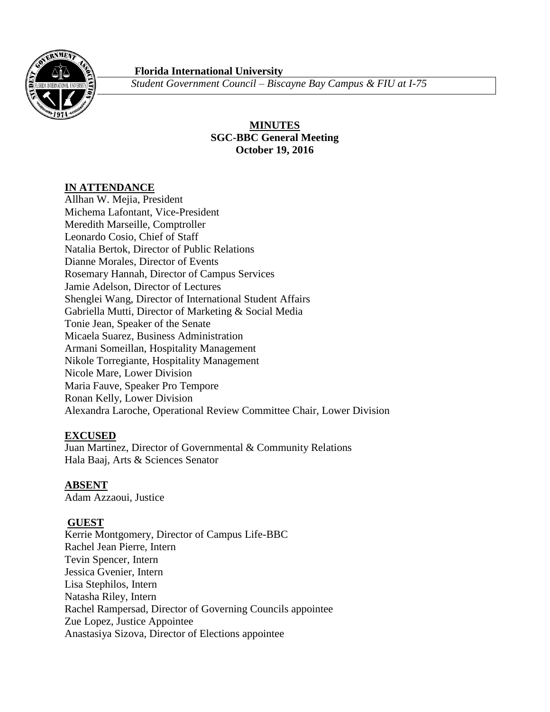

# **MINUTES SGC-BBC General Meeting October 19, 2016**

# **IN ATTENDANCE**

Allhan W. Mejia, President Michema Lafontant, Vice-President Meredith Marseille, Comptroller Leonardo Cosio, Chief of Staff Natalia Bertok, Director of Public Relations Dianne Morales, Director of Events Rosemary Hannah, Director of Campus Services Jamie Adelson, Director of Lectures Shenglei Wang, Director of International Student Affairs Gabriella Mutti, Director of Marketing & Social Media Tonie Jean, Speaker of the Senate Micaela Suarez, Business Administration Armani Someillan, Hospitality Management Nikole Torregiante, Hospitality Management Nicole Mare, Lower Division Maria Fauve, Speaker Pro Tempore Ronan Kelly, Lower Division Alexandra Laroche, Operational Review Committee Chair, Lower Division

# **EXCUSED**

Juan Martinez, Director of Governmental & Community Relations Hala Baaj, Arts & Sciences Senator

### **ABSENT**

Adam Azzaoui, Justice

# **GUEST**

Kerrie Montgomery, Director of Campus Life-BBC Rachel Jean Pierre, Intern Tevin Spencer, Intern Jessica Gvenier, Intern Lisa Stephilos, Intern Natasha Riley, Intern Rachel Rampersad, Director of Governing Councils appointee Zue Lopez, Justice Appointee Anastasiya Sizova, Director of Elections appointee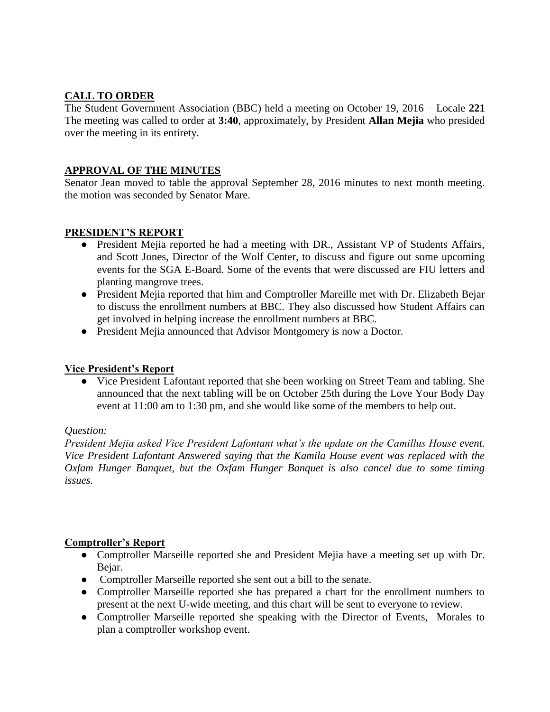### **CALL TO ORDER**

The Student Government Association (BBC) held a meeting on October 19, 2016 – Locale **221**  The meeting was called to order at **3:40**, approximately, by President **Allan Mejia** who presided over the meeting in its entirety.

### **APPROVAL OF THE MINUTES**

Senator Jean moved to table the approval September 28, 2016 minutes to next month meeting. the motion was seconded by Senator Mare.

### **PRESIDENT'S REPORT**

- President Mejia reported he had a meeting with DR., Assistant VP of Students Affairs, and Scott Jones, Director of the Wolf Center, to discuss and figure out some upcoming events for the SGA E-Board. Some of the events that were discussed are FIU letters and planting mangrove trees.
- President Mejia reported that him and Comptroller Mareille met with Dr. Elizabeth Bejar to discuss the enrollment numbers at BBC. They also discussed how Student Affairs can get involved in helping increase the enrollment numbers at BBC.
- President Mejia announced that Advisor Montgomery is now a Doctor.

### **Vice President's Report**

● Vice President Lafontant reported that she been working on Street Team and tabling. She announced that the next tabling will be on October 25th during the Love Your Body Day event at 11:00 am to 1:30 pm, and she would like some of the members to help out.

### *Question:*

*President Mejia asked Vice President Lafontant what's the update on the Camillus House event. Vice President Lafontant Answered saying that the Kamila House event was replaced with the Oxfam Hunger Banquet, but the Oxfam Hunger Banquet is also cancel due to some timing issues.* 

### **Comptroller's Report**

- Comptroller Marseille reported she and President Mejia have a meeting set up with Dr. Bejar.
- Comptroller Marseille reported she sent out a bill to the senate.
- Comptroller Marseille reported she has prepared a chart for the enrollment numbers to present at the next U-wide meeting, and this chart will be sent to everyone to review.
- Comptroller Marseille reported she speaking with the Director of Events, Morales to plan a comptroller workshop event.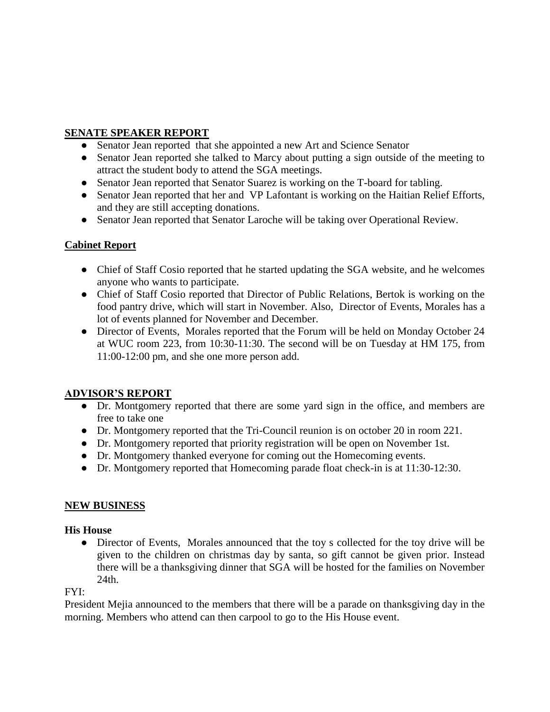### **SENATE SPEAKER REPORT**

- Senator Jean reported that she appointed a new Art and Science Senator
- Senator Jean reported she talked to Marcy about putting a sign outside of the meeting to attract the student body to attend the SGA meetings.
- Senator Jean reported that Senator Suarez is working on the T-board for tabling.
- Senator Jean reported that her and VP Lafontant is working on the Haitian Relief Efforts, and they are still accepting donations.
- Senator Jean reported that Senator Laroche will be taking over Operational Review.

# **Cabinet Report**

- Chief of Staff Cosio reported that he started updating the SGA website, and he welcomes anyone who wants to participate.
- Chief of Staff Cosio reported that Director of Public Relations, Bertok is working on the food pantry drive, which will start in November. Also, Director of Events, Morales has a lot of events planned for November and December.
- Director of Events, Morales reported that the Forum will be held on Monday October 24 at WUC room 223, from 10:30-11:30. The second will be on Tuesday at HM 175, from 11:00-12:00 pm, and she one more person add.

# **ADVISOR'S REPORT**

- Dr. Montgomery reported that there are some yard sign in the office, and members are free to take one
- Dr. Montgomery reported that the Tri-Council reunion is on october 20 in room 221.
- Dr. Montgomery reported that priority registration will be open on November 1st.
- Dr. Montgomery thanked everyone for coming out the Homecoming events.
- Dr. Montgomery reported that Homecoming parade float check-in is at 11:30-12:30.

# **NEW BUSINESS**

### **His House**

● Director of Events, Morales announced that the toy s collected for the toy drive will be given to the children on christmas day by santa, so gift cannot be given prior. Instead there will be a thanksgiving dinner that SGA will be hosted for the families on November 24th.

FYI:

President Mejia announced to the members that there will be a parade on thanksgiving day in the morning. Members who attend can then carpool to go to the His House event.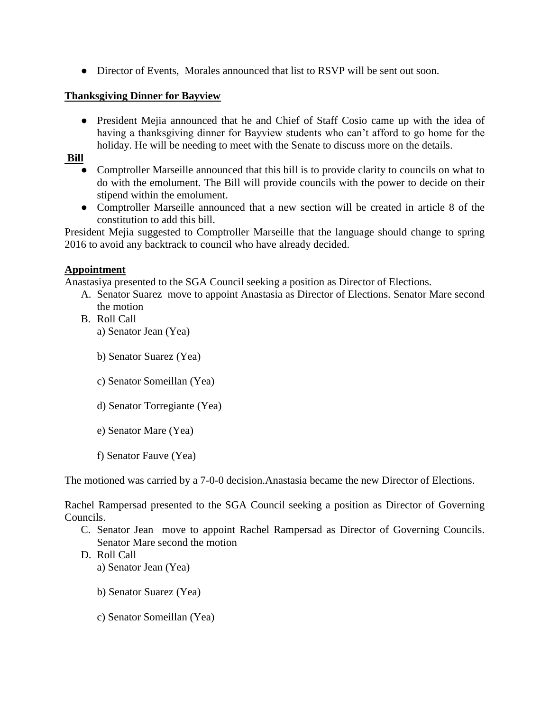• Director of Events, Morales announced that list to RSVP will be sent out soon.

#### **Thanksgiving Dinner for Bayview**

• President Mejia announced that he and Chief of Staff Cosio came up with the idea of having a thanksgiving dinner for Bayview students who can't afford to go home for the holiday. He will be needing to meet with the Senate to discuss more on the details.

#### **Bill**

- Comptroller Marseille announced that this bill is to provide clarity to councils on what to do with the emolument. The Bill will provide councils with the power to decide on their stipend within the emolument.
- Comptroller Marseille announced that a new section will be created in article 8 of the constitution to add this bill.

President Mejia suggested to Comptroller Marseille that the language should change to spring 2016 to avoid any backtrack to council who have already decided.

#### **Appointment**

Anastasiya presented to the SGA Council seeking a position as Director of Elections.

- A. Senator Suarez move to appoint Anastasia as Director of Elections. Senator Mare second the motion
- B. Roll Call
	- a) Senator Jean (Yea)
	- b) Senator Suarez (Yea)
	- c) Senator Someillan (Yea)
	- d) Senator Torregiante (Yea)
	- e) Senator Mare (Yea)
	- f) Senator Fauve (Yea)

The motioned was carried by a 7-0-0 decision.Anastasia became the new Director of Elections.

Rachel Rampersad presented to the SGA Council seeking a position as Director of Governing Councils.

- C. Senator Jean move to appoint Rachel Rampersad as Director of Governing Councils. Senator Mare second the motion
- D. Roll Call
	- a) Senator Jean (Yea)
	- b) Senator Suarez (Yea)
	- c) Senator Someillan (Yea)